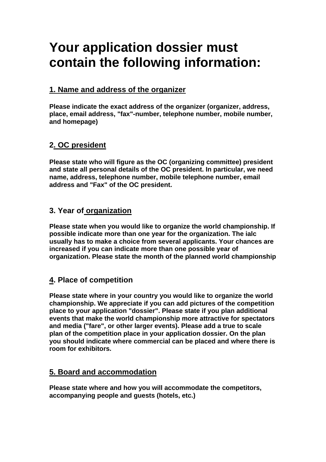# **Your application dossier must contain the following information:**

# **1. Name and address of the organizer**

**Please indicate the exact address of the organizer (organizer, address, place, email address, "fax"-number, telephone number, mobile number, and homepage)** 

## **2. OC president**

**Please state who will figure as the OC (organizing committee) president and state all personal details of the OC president. In particular, we need name, address, telephone number, mobile telephone number, email address and "Fax" of the OC president.** 

### **3. Year of organization**

**Please state when you would like to organize the world championship. If possible indicate more than one year for the organization. The ialc usually has to make a choice from several applicants. Your chances are increased if you can indicate more than one possible year of organization. Please state the month of the planned world championship** 

## **4. Place of competition**

**Please state where in your country you would like to organize the world championship. We appreciate if you can add pictures of the competition place to your application "dossier". Please state if you plan additional events that make the world championship more attractive for spectators and media ("fare", or other larger events). Please add a true to scale plan of the competition place in your application dossier. On the plan you should indicate where commercial can be placed and where there is room for exhibitors.** 

## **5. Board and accommodation**

**Please state where and how you will accommodate the competitors, accompanying people and guests (hotels, etc.)**